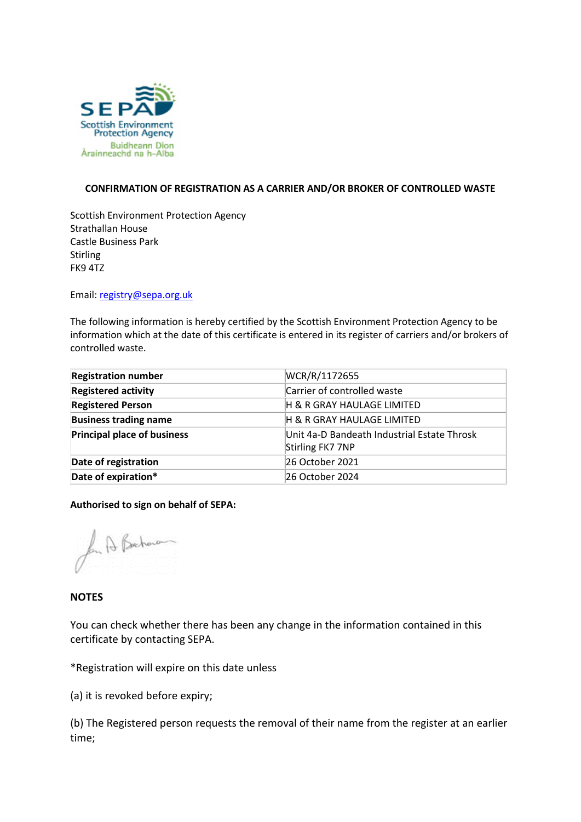

## **CONFIRMATION OF REGISTRATION AS A CARRIER AND/OR BROKER OF CONTROLLED WASTE**

Scottish Environment Protection Agency Strathallan House Castle Business Park Stirling FK9 4TZ

Email: [registry@sepa.org.uk](mailto:registry@sepa.org.uk)

The following information is hereby certified by the Scottish Environment Protection Agency to be information which at the date of this certificate is entered in its register of carriers and/or brokers of controlled waste.

| <b>Registration number</b>         | WCR/R/1172655                               |
|------------------------------------|---------------------------------------------|
| <b>Registered activity</b>         | Carrier of controlled waste                 |
| <b>Registered Person</b>           | H & R GRAY HAULAGE LIMITED                  |
| <b>Business trading name</b>       | H & R GRAY HAULAGE LIMITED                  |
| <b>Principal place of business</b> | Unit 4a-D Bandeath Industrial Estate Throsk |
|                                    | Stirling FK7 7NP                            |
| Date of registration               | 26 October 2021                             |
| Date of expiration*                | 26 October 2024                             |

**Authorised to sign on behalf of SEPA:** 

for A Bacham

## **NOTES**

You can check whether there has been any change in the information contained in this certificate by contacting SEPA.

\*Registration will expire on this date unless

(a) it is revoked before expiry;

(b) The Registered person requests the removal of their name from the register at an earlier time;